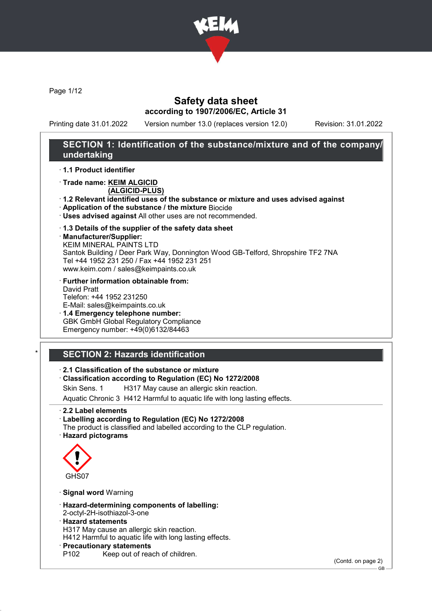

Page 1/12

# Safety data sheet according to 1907/2006/EC, Article 31

Printing date 31.01.2022 Version number 13.0 (replaces version 12.0) Revision: 31.01.2022

# SECTION 1: Identification of the substance/mixture and of the company/ undertaking

· 1.1 Product identifier

· Trade name: KEIM ALGICID

(ALGICID-PLUS)

- · 1.2 Relevant identified uses of the substance or mixture and uses advised against
- · Application of the substance / the mixture Biocide
- · Uses advised against All other uses are not recommended.

### · 1.3 Details of the supplier of the safety data sheet

· Manufacturer/Supplier:

KEIM MINERAL PAINTS LTD Santok Building / Deer Park Way, Donnington Wood GB-Telford, Shropshire TF2 7NA Tel +44 1952 231 250 / Fax +44 1952 231 251 www.keim.com / sales@keimpaints.co.uk

· Further information obtainable from: David Pratt Telefon: +44 1952 231250

E-Mail: sales@keimpaints.co.uk · 1.4 Emergency telephone number: GBK GmbH Global Regulatory Compliance

Emergency number: +49(0)6132/84463

# **SECTION 2: Hazards identification**

· 2.1 Classification of the substance or mixture

· Classification according to Regulation (EC) No 1272/2008

Skin Sens. 1 H317 May cause an allergic skin reaction.

Aquatic Chronic 3 H412 Harmful to aquatic life with long lasting effects.

· 2.2 Label elements

· Labelling according to Regulation (EC) No 1272/2008 The product is classified and labelled according to the CLP regulation. · Hazard pictograms



· Signal word Warning

· Hazard-determining components of labelling:

2-octyl-2H-isothiazol-3-one

## · Hazard statements

H317 May cause an allergic skin reaction.

H412 Harmful to aquatic life with long lasting effects.

- · Precautionary statements
- P102 Keep out of reach of children.

(Contd. on page 2)

GB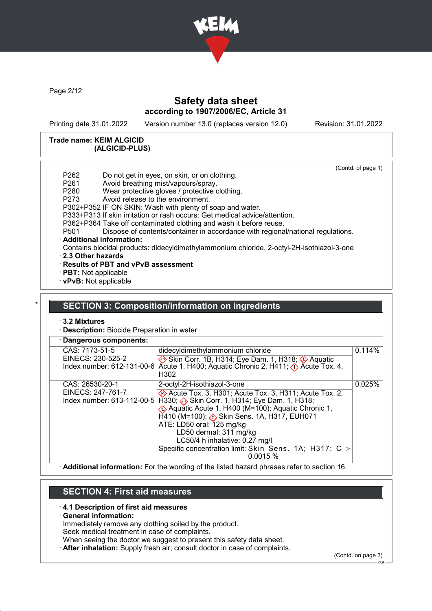

Page 2/12

# Safety data sheet according to 1907/2006/EC, Article 31

Printing date 31.01.2022 Version number 13.0 (replaces version 12.0) Revision: 31.01.2022

(Contd. of page 1)

#### Trade name: KEIM ALGICID (ALGICID-PLUS)

P262 Do not get in eyes, on skin, or on clothing. P261 Avoid breathing mist/vapours/spray.<br>P280 Wear protective gloves / protective of Wear protective gloves / protective clothing. P273 Avoid release to the environment. P302+P352 IF ON SKIN: Wash with plenty of soap and water. P333+P313 If skin irritation or rash occurs: Get medical advice/attention.

P362+P364 Take off contaminated clothing and wash it before reuse.<br>P501 Dispose of contents/container in accordance with regional

Dispose of contents/container in accordance with regional/national regulations.

#### · Additional information:

Contains biocidal products: didecyldimethylammonium chloride, 2-octyl-2H-isothiazol-3-one

- · 2.3 Other hazards
- · Results of PBT and vPvB assessment
- · PBT: Not applicable
- · vPvB: Not applicable

## **SECTION 3: Composition/information on ingredients**

### · 3.2 Mixtures

· Description: Biocide Preparation in water

| · Dangerous components:                                            |                                                                                                                                                                                                                                                                                                                                                                                                                          |        |
|--------------------------------------------------------------------|--------------------------------------------------------------------------------------------------------------------------------------------------------------------------------------------------------------------------------------------------------------------------------------------------------------------------------------------------------------------------------------------------------------------------|--------|
| CAS: 7173-51-5<br>EINECS: 230-525-2<br>Index number: 612-131-00-6  | didecyldimethylammonium chloride<br>Skin Corr. 1B, H314; Eye Dam. 1, H318; Aquatic<br>Acute 1, H400; Aquatic Chronic 2, H411; $\langle \cdot \rangle$ Acute Tox. 4,<br>H <sub>302</sub>                                                                                                                                                                                                                                  | 0.114% |
| CAS: 26530-20-1<br>EINECS: 247-761-7<br>Index number: 613-112-00-5 | 2-octyl-2H-isothiazol-3-one<br>Acute Tox. 3, H301; Acute Tox. 3, H311; Acute Tox. 2,<br>H330;  heta Skin Corr. 1, H314; Eye Dam. 1, H318;<br>Aquatic Acute 1, H400 (M=100); Aquatic Chronic 1,<br>H410 (M=100); $\diamondsuit$ Skin Sens. 1A, H317, EUH071<br>ATE: LD50 oral: 125 mg/kg<br>LD50 dermal: 311 mg/kg<br>LC50/4 h inhalative: 0.27 mg/l<br>Specific concentration limit: Skin Sens. 1A; H317: C ≥<br>0.0015% | 0.025% |

· Additional information: For the wording of the listed hazard phrases refer to section 16.

# SECTION 4: First aid measures

### · 4.1 Description of first aid measures

· General information:

Immediately remove any clothing soiled by the product.

Seek medical treatment in case of complaints.

When seeing the doctor we suggest to present this safety data sheet.

· After inhalation: Supply fresh air; consult doctor in case of complaints.

(Contd. on page 3)

GB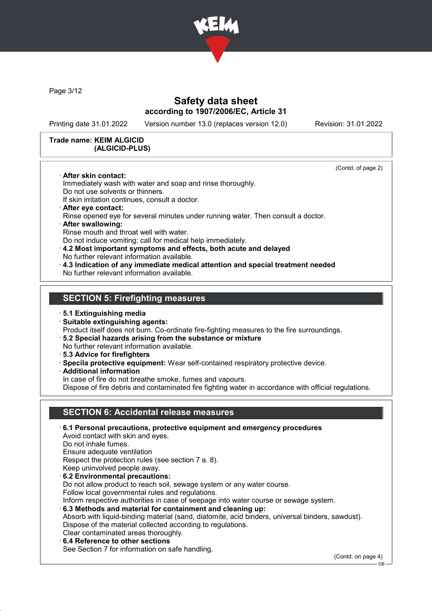

Page 3/12

# Safety data sheet according to 1907/2006/EC, Article 31

Printing date 31.01.2022 Version number 13.0 (replaces version 12.0) Revision: 31.01.2022

(Contd. of page 2)

#### Trade name: KEIM ALGICID (ALGICID-PLUS)

· After skin contact:

Immediately wash with water and soap and rinse thoroughly.

Do not use solvents or thinners.

If skin irritation continues, consult a doctor.

- · After eye contact:
- Rinse opened eye for several minutes under running water. Then consult a doctor.
- · After swallowing: Rinse mouth and throat well with water.

Do not induce vomiting; call for medical help immediately.

- · 4.2 Most important symptoms and effects, both acute and delayed No further relevant information available.
- · 4.3 Indication of any immediate medical attention and special treatment needed No further relevant information available.

## SECTION 5: Firefighting measures

· 5.1 Extinguishing media

· Suitable extinguishing agents:

Product itself does not burn. Co-ordinate fire-fighting measures to the fire surroundings.

- · 5.2 Special hazards arising from the substance or mixture
- No further relevant information available.
- · 5.3 Advice for firefighters
- · Specila protective equipment: Wear self-contained respiratory protective device.

· Additional information

In case of fire do not breathe smoke, fumes and vapours.

Dispose of fire debris and contaminated fire fighting water in accordance with official regulations.

# SECTION 6: Accidental release measures

· 6.1 Personal precautions, protective equipment and emergency procedures Avoid contact with skin and eyes. Do not inhale fumes. Ensure adequate ventilation Respect the protection rules (see section 7 a. 8). Keep uninvolved people away. · 6.2 Environmental precautions: Do not allow product to reach soil, sewage system or any water course. Follow local governmental rules and regulations. Inform respective authorities in case of seepage into water course or sewage system. · 6.3 Methods and material for containment and cleaning up: Absorb with liquid-binding material (sand, diatomite, acid binders, universal binders, sawdust). Dispose of the material collected according to regulations. Clear contaminated areas thoroughly. 6.4 Reference to other sections See Section 7 for information on safe handling.

(Contd. on page 4)

C<sub>B</sub>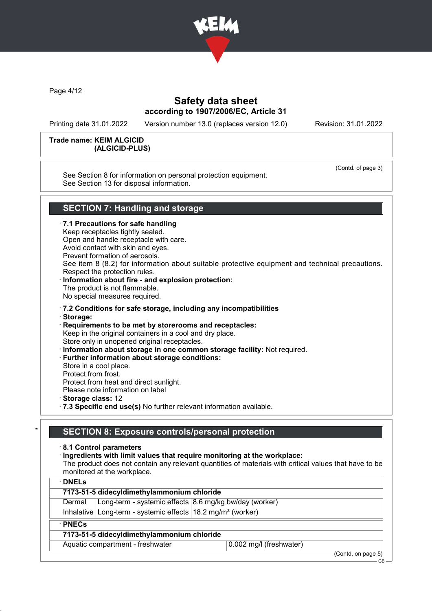

Page 4/12

# Safety data sheet according to 1907/2006/EC, Article 31

Printing date 31.01.2022 Version number 13.0 (replaces version 12.0) Revision: 31.01.2022

#### Trade name: KEIM ALGICID (ALGICID-PLUS)

See Section 8 for information on personal protection equipment. See Section 13 for disposal information.

(Contd. of page 3)

# SECTION 7: Handling and storage

· 7.1 Precautions for safe handling Keep receptacles tightly sealed. Open and handle receptacle with care. Avoid contact with skin and eyes. Prevent formation of aerosols. See item 8 (8.2) for information about suitable protective equipment and technical precautions. Respect the protection rules. · Information about fire - and explosion protection: The product is not flammable. No special measures required. · 7.2 Conditions for safe storage, including any incompatibilities · Storage: · Requirements to be met by storerooms and receptacles: Keep in the original containers in a cool and dry place. Store only in unopened original receptacles. · Information about storage in one common storage facility: Not required. · Further information about storage conditions:

- Store in a cool place.
- Protect from frost.
- Protect from heat and direct sunlight.
- Please note information on label
- · Storage class: 12
- · 7.3 Specific end use(s) No further relevant information available.

## SECTION 8: Exposure controls/personal protection

### · 8.1 Control parameters

### · Ingredients with limit values that require monitoring at the workplace:

The product does not contain any relevant quantities of materials with critical values that have to be monitored at the workplace.

| $\cdot$ DNELs                                                             |  |  |
|---------------------------------------------------------------------------|--|--|
| 7173-51-5 didecyldimethylammonium chloride                                |  |  |
| Long-term - systemic effects 8.6 mg/kg bw/day (worker)<br>Dermal          |  |  |
| Inhalative Long-term - systemic effects $18.2$ mg/m <sup>3</sup> (worker) |  |  |
| $\cdot$ PNECs                                                             |  |  |
| 7173-51-5 didecyldimethylammonium chloride                                |  |  |
| Aquatic compartment - freshwater<br>0.002 mg/l (freshwater)               |  |  |

(Contd. on page 5) GB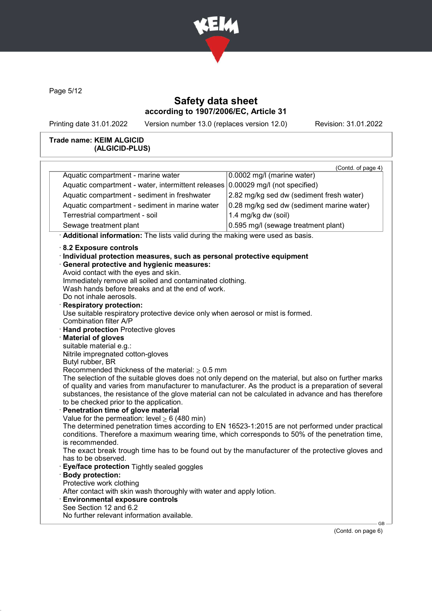

Page 5/12

# Safety data sheet according to 1907/2006/EC, Article 31

Printing date 31.01.2022 Version number 13.0 (replaces version 12.0) Revision: 31.01.2022

### Trade name: KEIM ALGICID (ALGICID-PLUS)

| Aquatic compartment - marine water<br>0.0002 mg/l (marine water)<br>0.00029 mg/l (not specified)<br>Aquatic compartment - water, intermittent releases<br>Aquatic compartment - sediment in freshwater<br>2.82 mg/kg sed dw (sediment fresh water)<br>0.28 mg/kg sed dw (sediment marine water)<br>Aquatic compartment - sediment in marine water<br>1.4 mg/kg dw (soil)<br>Terrestrial compartment - soil<br>Sewage treatment plant<br>0.595 mg/l (sewage treatment plant)<br>· Additional information: The lists valid during the making were used as basis.<br>8.2 Exposure controls<br>· Individual protection measures, such as personal protective equipment<br>· General protective and hygienic measures:<br>Avoid contact with the eyes and skin.<br>Immediately remove all soiled and contaminated clothing.<br>Wash hands before breaks and at the end of work.<br>Do not inhale aerosols.<br>Respiratory protection:<br>Use suitable respiratory protective device only when aerosol or mist is formed.<br>Combination filter A/P<br>Hand protection Protective gloves<br>Material of gloves<br>suitable material e.g.:<br>Nitrile impregnated cotton-gloves<br>Butyl rubber, BR<br>Recommended thickness of the material: $\geq 0.5$ mm<br>The selection of the suitable gloves does not only depend on the material, but also on further marks<br>of quality and varies from manufacturer to manufacturer. As the product is a preparation of several | (Contd. of page 4) |
|---------------------------------------------------------------------------------------------------------------------------------------------------------------------------------------------------------------------------------------------------------------------------------------------------------------------------------------------------------------------------------------------------------------------------------------------------------------------------------------------------------------------------------------------------------------------------------------------------------------------------------------------------------------------------------------------------------------------------------------------------------------------------------------------------------------------------------------------------------------------------------------------------------------------------------------------------------------------------------------------------------------------------------------------------------------------------------------------------------------------------------------------------------------------------------------------------------------------------------------------------------------------------------------------------------------------------------------------------------------------------------------------------------------------------------------------------------------------|--------------------|
|                                                                                                                                                                                                                                                                                                                                                                                                                                                                                                                                                                                                                                                                                                                                                                                                                                                                                                                                                                                                                                                                                                                                                                                                                                                                                                                                                                                                                                                                     |                    |
|                                                                                                                                                                                                                                                                                                                                                                                                                                                                                                                                                                                                                                                                                                                                                                                                                                                                                                                                                                                                                                                                                                                                                                                                                                                                                                                                                                                                                                                                     |                    |
|                                                                                                                                                                                                                                                                                                                                                                                                                                                                                                                                                                                                                                                                                                                                                                                                                                                                                                                                                                                                                                                                                                                                                                                                                                                                                                                                                                                                                                                                     |                    |
|                                                                                                                                                                                                                                                                                                                                                                                                                                                                                                                                                                                                                                                                                                                                                                                                                                                                                                                                                                                                                                                                                                                                                                                                                                                                                                                                                                                                                                                                     |                    |
|                                                                                                                                                                                                                                                                                                                                                                                                                                                                                                                                                                                                                                                                                                                                                                                                                                                                                                                                                                                                                                                                                                                                                                                                                                                                                                                                                                                                                                                                     |                    |
|                                                                                                                                                                                                                                                                                                                                                                                                                                                                                                                                                                                                                                                                                                                                                                                                                                                                                                                                                                                                                                                                                                                                                                                                                                                                                                                                                                                                                                                                     |                    |
|                                                                                                                                                                                                                                                                                                                                                                                                                                                                                                                                                                                                                                                                                                                                                                                                                                                                                                                                                                                                                                                                                                                                                                                                                                                                                                                                                                                                                                                                     |                    |
| substances, the resistance of the glove material can not be calculated in advance and has therefore<br>to be checked prior to the application.<br>Penetration time of glove material<br>Value for the permeation: level $\geq 6$ (480 min)<br>The determined penetration times according to EN 16523-1:2015 are not performed under practical<br>conditions. Therefore a maximum wearing time, which corresponds to 50% of the penetration time,<br>is recommended.<br>The exact break trough time has to be found out by the manufacturer of the protective gloves and<br>has to be observed.<br><b>Eye/face protection</b> Tightly sealed goggles<br>· Body protection:<br>Protective work clothing<br>After contact with skin wash thoroughly with water and apply lotion.<br><b>Environmental exposure controls</b><br>See Section 12 and 6.2                                                                                                                                                                                                                                                                                                                                                                                                                                                                                                                                                                                                                   |                    |

(Contd. on page 6)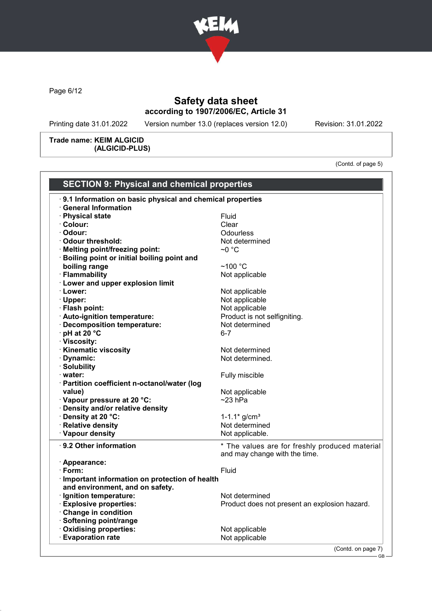

Page 6/12

# Safety data sheet according to 1907/2006/EC, Article 31

Printing date 31.01.2022 Version number 13.0 (replaces version 12.0) Revision: 31.01.2022

Trade name: KEIM ALGICID (ALGICID-PLUS)

(Contd. of page 5)

GB

| 9.1 Information on basic physical and chemical properties<br><b>General Information</b><br>· Physical state<br>· Colour:<br>· Odour:<br>Odour threshold:<br>· Melting point/freezing point:<br>· Boiling point or initial boiling point and | Fluid<br>Clear<br><b>Odourless</b><br>Not determined<br>~0 °C |
|---------------------------------------------------------------------------------------------------------------------------------------------------------------------------------------------------------------------------------------------|---------------------------------------------------------------|
|                                                                                                                                                                                                                                             |                                                               |
|                                                                                                                                                                                                                                             |                                                               |
|                                                                                                                                                                                                                                             |                                                               |
|                                                                                                                                                                                                                                             |                                                               |
|                                                                                                                                                                                                                                             |                                                               |
|                                                                                                                                                                                                                                             |                                                               |
|                                                                                                                                                                                                                                             |                                                               |
|                                                                                                                                                                                                                                             |                                                               |
| boiling range                                                                                                                                                                                                                               | ~100 $°C$                                                     |
| · Flammability                                                                                                                                                                                                                              | Not applicable                                                |
| · Lower and upper explosion limit                                                                                                                                                                                                           |                                                               |
| · Lower:                                                                                                                                                                                                                                    | Not applicable                                                |
| · Upper:                                                                                                                                                                                                                                    | Not applicable                                                |
| · Flash point:                                                                                                                                                                                                                              | Not applicable                                                |
| · Auto-ignition temperature:                                                                                                                                                                                                                | Product is not selfigniting.                                  |
| · Decomposition temperature:                                                                                                                                                                                                                | Not determined                                                |
| · pH at 20 °C                                                                                                                                                                                                                               | $6 - 7$                                                       |
| · Viscosity:                                                                                                                                                                                                                                |                                                               |
| <b>Kinematic viscosity</b>                                                                                                                                                                                                                  | Not determined                                                |
| · Dynamic:                                                                                                                                                                                                                                  | Not determined.                                               |
| · Solubility                                                                                                                                                                                                                                |                                                               |
| · water:                                                                                                                                                                                                                                    | Fully miscible                                                |
| · Partition coefficient n-octanol/water (log                                                                                                                                                                                                |                                                               |
| value)                                                                                                                                                                                                                                      | Not applicable                                                |
| Vapour pressure at 20 °C:                                                                                                                                                                                                                   | $\sim$ 23 hPa                                                 |
| · Density and/or relative density                                                                                                                                                                                                           |                                                               |
| · Density at 20 °C:                                                                                                                                                                                                                         | $1 - 1.1*$ g/cm <sup>3</sup>                                  |
| · Relative density                                                                                                                                                                                                                          | Not determined                                                |
| · Vapour density                                                                                                                                                                                                                            | Not applicable.                                               |
|                                                                                                                                                                                                                                             |                                                               |
| $\cdot$ 9.2 Other information                                                                                                                                                                                                               | * The values are for freshly produced material                |
|                                                                                                                                                                                                                                             | and may change with the time.                                 |
| · Appearance:                                                                                                                                                                                                                               |                                                               |
| $\cdot$ Form:                                                                                                                                                                                                                               | Fluid                                                         |
| · Important information on protection of health                                                                                                                                                                                             |                                                               |
| and environment, and on safety.                                                                                                                                                                                                             |                                                               |
| · Ignition temperature:                                                                                                                                                                                                                     | Not determined                                                |
| <b>Explosive properties:</b>                                                                                                                                                                                                                | Product does not present an explosion hazard.                 |
| Change in condition                                                                                                                                                                                                                         |                                                               |
| · Softening point/range                                                                                                                                                                                                                     |                                                               |
| · Oxidising properties:                                                                                                                                                                                                                     | Not applicable                                                |
| <b>Evaporation rate</b>                                                                                                                                                                                                                     | Not applicable                                                |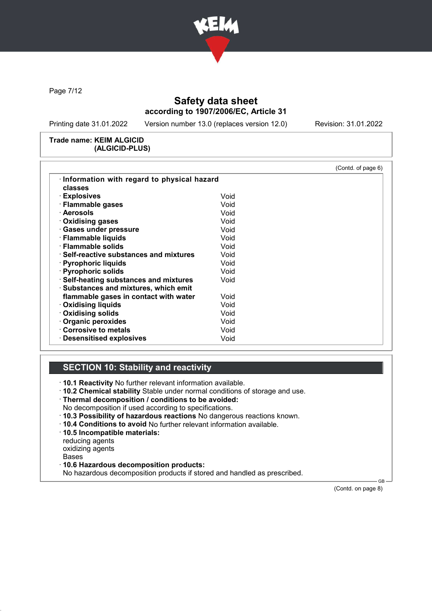

Page 7/12

# Safety data sheet according to 1907/2006/EC, Article 31

Printing date 31.01.2022 Version number 13.0 (replaces version 12.0) Revision: 31.01.2022

#### Trade name: KEIM ALGICID (ALGICID-PLUS)

|                                               |      | (Contd. of page 6) |
|-----------------------------------------------|------|--------------------|
| Information with regard to physical hazard    |      |                    |
| classes                                       |      |                    |
| · Explosives                                  | Void |                    |
| · Flammable gases                             | Void |                    |
| · Aerosols                                    | Void |                    |
| $\cdot$ Oxidising gases                       | Void |                    |
| · Gases under pressure                        | Void |                    |
| · Flammable liquids                           | Void |                    |
| · Flammable solids                            | Void |                    |
| $\cdot$ Self-reactive substances and mixtures | Void |                    |
| · Pyrophoric liquids                          | Void |                    |
| · Pyrophoric solids                           | Void |                    |
| · Self-heating substances and mixtures        | Void |                    |
| · Substances and mixtures, which emit         |      |                    |
| flammable gases in contact with water         | Void |                    |
| <b>Oxidising liquids</b>                      | Void |                    |
| <b>Oxidising solids</b>                       | Void |                    |
| <b>Organic peroxides</b>                      | Void |                    |
| Corrosive to metals                           | Void |                    |
| <b>Desensitised explosives</b>                | Void |                    |

# SECTION 10: Stability and reactivity

· 10.1 Reactivity No further relevant information available.

- · 10.2 Chemical stability Stable under normal conditions of storage and use.
- · Thermal decomposition / conditions to be avoided:
- No decomposition if used according to specifications.
- · 10.3 Possibility of hazardous reactions No dangerous reactions known.
- · 10.4 Conditions to avoid No further relevant information available.
- · 10.5 Incompatible materials:
- reducing agents

oxidizing agents

Bases

· 10.6 Hazardous decomposition products:

No hazardous decomposition products if stored and handled as prescribed.

(Contd. on page 8)

GB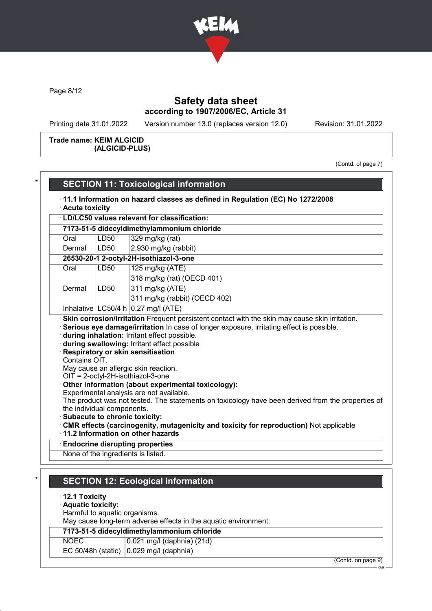

Page 8/12

# Safety data sheet according to 1907/2006/EC, Article 31

Printing date 31.01.2022 Version number 13.0 (replaces version 12.0) Revision: 31.01.2022

### Trade name: KEIM ALGICID (ALGICID-PLUS)

(Contd. of page 7)

|                                                                                | · Acute toxicity | · LD/LC50 values relevant for classification:                                                                                                                                                                                                                                                                                                                                                                        |
|--------------------------------------------------------------------------------|------------------|----------------------------------------------------------------------------------------------------------------------------------------------------------------------------------------------------------------------------------------------------------------------------------------------------------------------------------------------------------------------------------------------------------------------|
|                                                                                |                  | 7173-51-5 didecyldimethylammonium chloride                                                                                                                                                                                                                                                                                                                                                                           |
| Oral                                                                           | <b>LD50</b>      | 329 mg/kg (rat)                                                                                                                                                                                                                                                                                                                                                                                                      |
|                                                                                | LD50             |                                                                                                                                                                                                                                                                                                                                                                                                                      |
| Dermal                                                                         |                  | 2,930 mg/kg (rabbit)                                                                                                                                                                                                                                                                                                                                                                                                 |
|                                                                                |                  | 26530-20-1 2-octyl-2H-isothiazol-3-one                                                                                                                                                                                                                                                                                                                                                                               |
| Oral                                                                           | LD50             | 125 mg/kg (ATE)                                                                                                                                                                                                                                                                                                                                                                                                      |
|                                                                                |                  | 318 mg/kg (rat) (OECD 401)                                                                                                                                                                                                                                                                                                                                                                                           |
| Dermal                                                                         | LD50             | 311 mg/kg (ATE)                                                                                                                                                                                                                                                                                                                                                                                                      |
|                                                                                |                  | 311 mg/kg (rabbit) (OECD 402)                                                                                                                                                                                                                                                                                                                                                                                        |
|                                                                                |                  | Inhalative $ LC50/4 h 0.27 mg/l (ATE)$<br>· Skin corrosion/irritation Frequent persistent contact with the skin may cause skin irritation.                                                                                                                                                                                                                                                                           |
| Contains OIT.<br>the individual components.<br>· Subacute to chronic toxicity: |                  | May cause an allergic skin reaction.<br>$OIT = 2$ -octyl-2H-isothiazol-3-one<br>Other information (about experimental toxicology):<br>Experimental analysis are not available.<br>The product was not tested. The statements on toxicology have been derived from the properties of<br>⋅ CMR effects (carcinogenity, mutagenicity and toxicity for reproduction) Not applicable<br>11.2 Information on other hazards |
|                                                                                |                  | <b>Endocrine disrupting properties</b>                                                                                                                                                                                                                                                                                                                                                                               |
|                                                                                |                  | None of the ingredients is listed.                                                                                                                                                                                                                                                                                                                                                                                   |
|                                                                                |                  |                                                                                                                                                                                                                                                                                                                                                                                                                      |
| $\cdot$ 12.1 Toxicity<br>· Aquatic toxicity:<br>Harmful to aquatic organisms.  |                  | <b>SECTION 12: Ecological information</b><br>May cause long-term adverse effects in the aquatic environment.<br>7173-51-5 didecyldimethylammonium chloride                                                                                                                                                                                                                                                           |
| <b>NOEC</b><br>EC 50/48h (static)                                              |                  | 0.021 mg/l (daphnia) (21d)<br>0.029 mg/l (daphnia)                                                                                                                                                                                                                                                                                                                                                                   |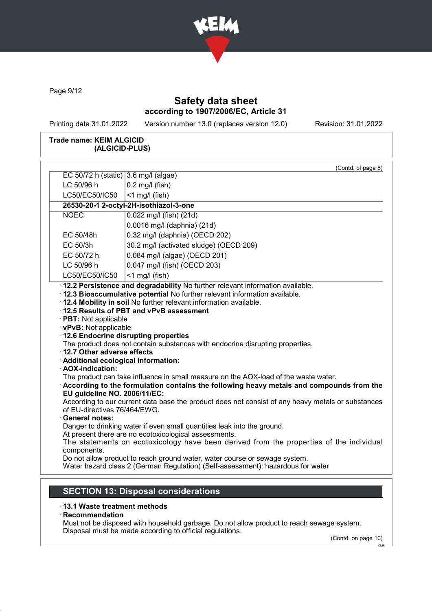

Page 9/12

# Safety data sheet according to 1907/2006/EC, Article 31

Printing date 31.01.2022 Version number 13.0 (replaces version 12.0) Revision: 31.01.2022

### Trade name: KEIM ALGICID (ALGICID-PLUS)

| EC 50/72 h (static) 3.6 mg/l (algae)                                                                                                                                                                                                                                                                                                                                                                                                                                                                                                                                                                                                                                                                                                                                                                                                                                                                                           | (Contd. of page 8)                                                                                                                               |  |  |
|--------------------------------------------------------------------------------------------------------------------------------------------------------------------------------------------------------------------------------------------------------------------------------------------------------------------------------------------------------------------------------------------------------------------------------------------------------------------------------------------------------------------------------------------------------------------------------------------------------------------------------------------------------------------------------------------------------------------------------------------------------------------------------------------------------------------------------------------------------------------------------------------------------------------------------|--------------------------------------------------------------------------------------------------------------------------------------------------|--|--|
|                                                                                                                                                                                                                                                                                                                                                                                                                                                                                                                                                                                                                                                                                                                                                                                                                                                                                                                                |                                                                                                                                                  |  |  |
|                                                                                                                                                                                                                                                                                                                                                                                                                                                                                                                                                                                                                                                                                                                                                                                                                                                                                                                                | LC 50/96 h<br>$0.2$ mg/l (fish)                                                                                                                  |  |  |
| LC50/EC50/IC50<br>$<$ 1 mg/l (fish)                                                                                                                                                                                                                                                                                                                                                                                                                                                                                                                                                                                                                                                                                                                                                                                                                                                                                            |                                                                                                                                                  |  |  |
|                                                                                                                                                                                                                                                                                                                                                                                                                                                                                                                                                                                                                                                                                                                                                                                                                                                                                                                                | 26530-20-1 2-octyl-2H-isothiazol-3-one                                                                                                           |  |  |
| <b>NOEC</b>                                                                                                                                                                                                                                                                                                                                                                                                                                                                                                                                                                                                                                                                                                                                                                                                                                                                                                                    | 0.022 mg/l (fish) (21d)                                                                                                                          |  |  |
|                                                                                                                                                                                                                                                                                                                                                                                                                                                                                                                                                                                                                                                                                                                                                                                                                                                                                                                                | 0.0016 mg/l (daphnia) (21d)                                                                                                                      |  |  |
| EC 50/48h                                                                                                                                                                                                                                                                                                                                                                                                                                                                                                                                                                                                                                                                                                                                                                                                                                                                                                                      | 0.32 mg/l (daphnia) (OECD 202)                                                                                                                   |  |  |
| EC 50/3h                                                                                                                                                                                                                                                                                                                                                                                                                                                                                                                                                                                                                                                                                                                                                                                                                                                                                                                       | 30.2 mg/l (activated sludge) (OECD 209)                                                                                                          |  |  |
| EC 50/72 h                                                                                                                                                                                                                                                                                                                                                                                                                                                                                                                                                                                                                                                                                                                                                                                                                                                                                                                     | 0.084 mg/l (algae) (OECD 201)                                                                                                                    |  |  |
| LC 50/96 h                                                                                                                                                                                                                                                                                                                                                                                                                                                                                                                                                                                                                                                                                                                                                                                                                                                                                                                     | 0.047 mg/l (fish) (OECD 203)                                                                                                                     |  |  |
| LC50/EC50/IC50                                                                                                                                                                                                                                                                                                                                                                                                                                                                                                                                                                                                                                                                                                                                                                                                                                                                                                                 | $<$ 1 mg/l (fish)                                                                                                                                |  |  |
| · 12.3 Bioaccumulative potential No further relevant information available.<br>. 12.4 Mobility in soil No further relevant information available.<br>12.5 Results of PBT and vPvB assessment<br>· PBT: Not applicable<br>· vPvB: Not applicable<br>12.6 Endocrine disrupting properties<br>The product does not contain substances with endocrine disrupting properties.<br>12.7 Other adverse effects<br>· Additional ecological information:<br>· AOX-indication:<br>The product can take influence in small measure on the AOX-load of the waste water.<br>According to the formulation contains the following heavy metals and compounds from the<br>EU guideline NO. 2006/11/EC:<br>According to our current data base the product does not consist of any heavy metals or substances<br>of EU-directives 76/464/EWG.<br><b>General notes:</b><br>Danger to drinking water if even small quantities leak into the ground. |                                                                                                                                                  |  |  |
|                                                                                                                                                                                                                                                                                                                                                                                                                                                                                                                                                                                                                                                                                                                                                                                                                                                                                                                                | At present there are no ecotoxicological assessments.<br>The statements on ecotoxicology have been derived from the properties of the individual |  |  |
|                                                                                                                                                                                                                                                                                                                                                                                                                                                                                                                                                                                                                                                                                                                                                                                                                                                                                                                                |                                                                                                                                                  |  |  |
| components.                                                                                                                                                                                                                                                                                                                                                                                                                                                                                                                                                                                                                                                                                                                                                                                                                                                                                                                    |                                                                                                                                                  |  |  |

# · 13.1 Waste treatment methods

· Recommendation

Must not be disposed with household garbage. Do not allow product to reach sewage system. Disposal must be made according to official regulations.

(Contd. on page 10) GB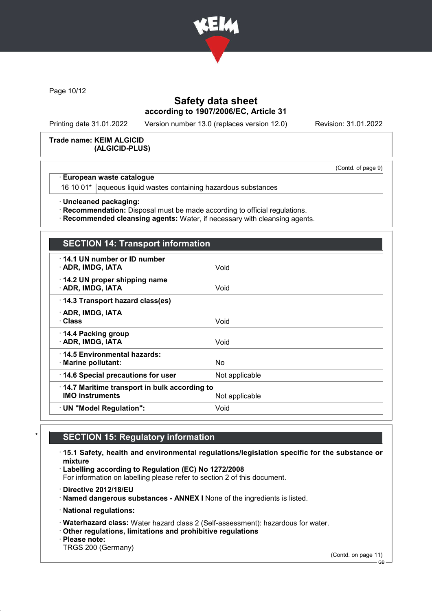

Page 10/12

# Safety data sheet according to 1907/2006/EC, Article 31

Printing date 31.01.2022 Version number 13.0 (replaces version 12.0) Revision: 31.01.2022

#### Trade name: KEIM ALGICID (ALGICID-PLUS)

(Contd. of page 9)

## European waste catalogue

16 10 01\* aqueous liquid wastes containing hazardous substances

· Uncleaned packaging:

· Recommendation: Disposal must be made according to official regulations.

· Recommended cleansing agents: Water, if necessary with cleansing agents.

# SECTION 14: Transport information

| 14.1 UN number or ID number                       |                |  |
|---------------------------------------------------|----------------|--|
| · ADR, IMDG, IATA                                 | Void           |  |
| 14.2 UN proper shipping name<br>· ADR, IMDG, IATA | Void           |  |
| 14.3 Transport hazard class(es)                   |                |  |
| · ADR, IMDG, IATA                                 |                |  |
| · Class                                           | Void           |  |
| 14.4 Packing group                                |                |  |
| · ADR, IMDG, IATA                                 | Void           |  |
| ⋅14.5 Environmental hazards:                      |                |  |
| · Marine pollutant:                               | No             |  |
| 14.6 Special precautions for user                 | Not applicable |  |
| 14.7 Maritime transport in bulk according to      |                |  |
| <b>IMO instruments</b>                            | Not applicable |  |
| · UN "Model Regulation":                          | Void           |  |
|                                                   |                |  |

# **SECTION 15: Regulatory information**

· 15.1 Safety, health and environmental regulations/legislation specific for the substance or mixture

· Labelling according to Regulation (EC) No 1272/2008

For information on labelling please refer to section 2 of this document.

· Directive 2012/18/EU

· Named dangerous substances - ANNEX I None of the ingredients is listed.

· National regulations:

· Waterhazard class: Water hazard class 2 (Self-assessment): hazardous for water.

- · Other regulations, limitations and prohibitive regulations
- · Please note:

TRGS 200 (Germany)

(Contd. on page 11)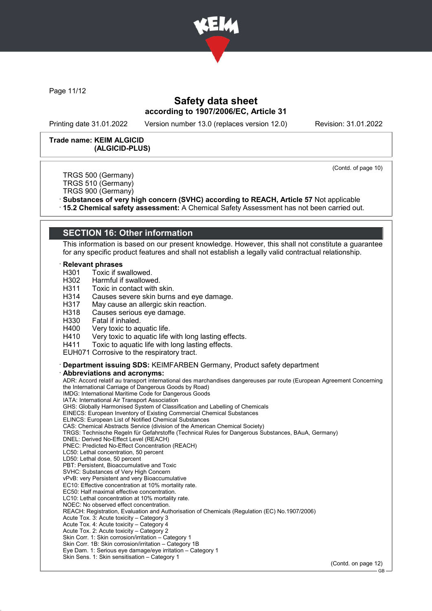

Page 11/12

## Safety data sheet according to 1907/2006/EC, Article 31

Printing date 31.01.2022 Version number 13.0 (replaces version 12.0) Revision: 31.01.2022

#### Trade name: KEIM ALGICID (ALGICID-PLUS)

(Contd. of page 10)

TRGS 500 (Germany) TRGS 510 (Germany)

TRGS 900 (Germany)

· Substances of very high concern (SVHC) according to REACH, Article 57 Not applicable

· 15.2 Chemical safety assessment: A Chemical Safety Assessment has not been carried out.

## SECTION 16: Other information

This information is based on our present knowledge. However, this shall not constitute a guarantee for any specific product features and shall not establish a legally valid contractual relationship.

#### **Relevant phrases**

H301 Toxic if swallowed.

- H302 Harmful if swallowed.
- H311 Toxic in contact with skin.
- H314 Causes severe skin burns and eye damage.
- H317 May cause an allergic skin reaction.<br>H318 Causes serious eve damage.
- H318 Causes serious eye damage.<br>H330 Fatal if inhaled.
- H330 Fatal if inhaled.<br>H400 Verv toxic to ag
- 
- H400 Very toxic to aquatic life.<br>H410 Very toxic to aquatic life H410 Very toxic to aquatic life with long lasting effects.<br>H411 Toxic to aquatic life with long lasting effects.
- Toxic to aquatic life with long lasting effects.
- EUH071 Corrosive to the respiratory tract.

· Department issuing SDS: KEIMFARBEN Germany, Product safety department

Abbreviations and acronyms:

ADR: Accord relatif au transport international des marchandises dangereuses par route (European Agreement Concerning the International Carriage of Dangerous Goods by Road) IMDG: International Maritime Code for Dangerous Goods IATA: International Air Transport Association GHS: Globally Harmonised System of Classification and Labelling of Chemicals EINECS: European Inventory of Existing Commercial Chemical Substances ELINCS: European List of Notified Chemical Substances CAS: Chemical Abstracts Service (division of the American Chemical Society) TRGS: Technische Regeln für Gefahrstoffe (Technical Rules for Dangerous Substances, BAuA, Germany) DNEL: Derived No-Effect Level (REACH) PNEC: Predicted No-Effect Concentration (REACH) LC50: Lethal concentration, 50 percent LD50: Lethal dose, 50 percent PBT: Persistent, Bioaccumulative and Toxic SVHC: Substances of Very High Concern vPvB: very Persistent and very Bioaccumulative EC10: Effective concentration at 10% mortality rate. EC50: Half maximal effective concentration. LC10: Lethal concentration at 10% mortality rate. NOEC: No observed effect concentration. REACH: Registration, Evaluation and Authorisation of Chemicals (Regulation (EC) No.1907/2006) Acute Tox. 3: Acute toxicity – Category 3 Acute Tox. 4: Acute toxicity – Category 4 Acute Tox. 2: Acute toxicity – Category 2 Skin Corr. 1: Skin corrosion/irritation – Category 1 Skin Corr. 1B: Skin corrosion/irritation – Category 1B Eye Dam. 1: Serious eye damage/eye irritation – Category 1 Skin Sens. 1: Skin sensitisation – Category 1

(Contd. on page 12)